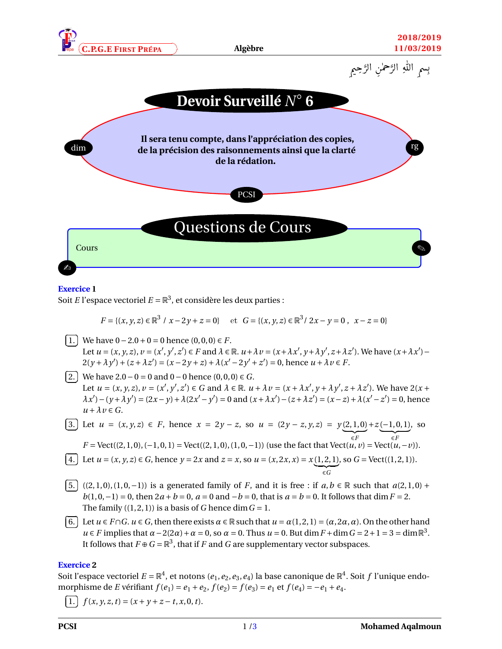





## **Exercice 1**

 $\overline{a}$ 

Soit *E* l'espace vectoriel  $E = \mathbb{R}^3$ , et considère les deux parties :

$$
F = \{(x, y, z) \in \mathbb{R}^3 \mid x - 2y + z = 0\} \quad \text{et} \quad G = \{(x, y, z) \in \mathbb{R}^3 \mid 2x - y = 0, \ x - z = 0\}
$$

✄  $\overline{a}$ ĺ. 1. We have  $0-2.0+0=0$  hence  $(0,0,0) \in F$ . Let  $u = (x, y, z)$ ,  $v = (x', y', z') \in F$  and  $\lambda \in \mathbb{R}$ .  $u + \lambda v = (x + \lambda x', y + \lambda y', z + \lambda z')$ . We have  $(x + \lambda x')$  $2(y + \lambda y') + (z + \lambda z') = (x - 2y + z) + \lambda (x' - 2y' + z') = 0$ , hence  $u + \lambda v \in F$ . ✄

ĺ. 2. We have 2.0 − 0 = 0 and 0 − 0 hence (0, 0, 0)  $\in$  *G*. Let  $u = (x, y, z), v = (x', y', z') \in G$  and  $\lambda \in \mathbb{R}$ .  $u + \lambda v = (x + \lambda x', y + \lambda y', z + \lambda z')$ . We have  $2(x + \lambda y')$  $\lambda x' - (y + \lambda y') = (2x - y) + \lambda(2x' - y') = 0$  and  $(x + \lambda x') - (z + \lambda z') = (x - z) + \lambda(x' - z') = 0$ , hence  $u + \lambda v \in G$ .

3. Let 
$$
u = (x, y, z) \in F
$$
, hence  $x = 2y - z$ , so  $u = (2y - z, y, z) = y(2, 1, 0) + z(-1, 0, 1)$ , so  
\n
$$
F = \text{Vect}((2, 1, 0), (-1, 0, 1)) = \text{Vect}((2, 1, 0), (1, 0, -1))
$$
 (use the fact that  $\text{Vect}(u, v) = \text{Vect}(u, -v)$ ).

4. Let 
$$
u = (x, y, z) \in G
$$
, hence  $y = 2x$  and  $z = x$ , so  $u = (x, 2x, x) = x(1, 2, 1)$ , so  $G = \text{Vect}((1, 2, 1))$ .

✄  $\overline{a}$ ĺ. 5.  $((2, 1, 0), (1, 0, -1))$  is a generated family of *F*, and it is free : if  $a, b \in \mathbb{R}$  such that  $a(2, 1, 0) + b(1, 0, -1)$ *b*(1, 0, -1) = 0, then  $2a + b = 0$ ,  $a = 0$  and  $-b = 0$ , that is  $a = b = 0$ . It follows that dim  $F = 2$ . The family  $((1, 2, 1))$  is a basis of *G* hence dim  $G = 1$ .

✄  $\overline{a}$ ĺ. 6. Let *u* ∈ *F*∩*G*. *u* ∈ *G*, then there exists *α* ∈ R such that  $u = \alpha(1, 2, 1) = (\alpha, 2\alpha, \alpha)$ . On the other hand  $u \in F$  implies that  $\alpha - 2(2\alpha) + \alpha = 0$ , so  $\alpha = 0$ . Thus  $u = 0$ . But dim  $F + \dim G = 2 + 1 = 3 = \dim \mathbb{R}^3$ . It follows that  $F \oplus G = \mathbb{R}^3$ , that if *F* and *G* are supplementary vector subspaces.

## **Exercice 2**

Soit l'espace vectoriel  $E=\mathbb{R}^4$ , et notons ( $e_1,e_2,e_3,e_4$ ) la base canonique de  $\mathbb{R}^4.$  Soit  $f$  l'unique endomorphisme de *E* vérifiant  $f(e_1) = e_1 + e_2$ ,  $f(e_2) = f(e_3) = e_1$  et  $f(e_4) = -e_1 + e_4$ . ✄

ĺ. 1.  $f(x, y, z, t) = (x + y + z - t, x, 0, t).$ 

 $\overline{a}$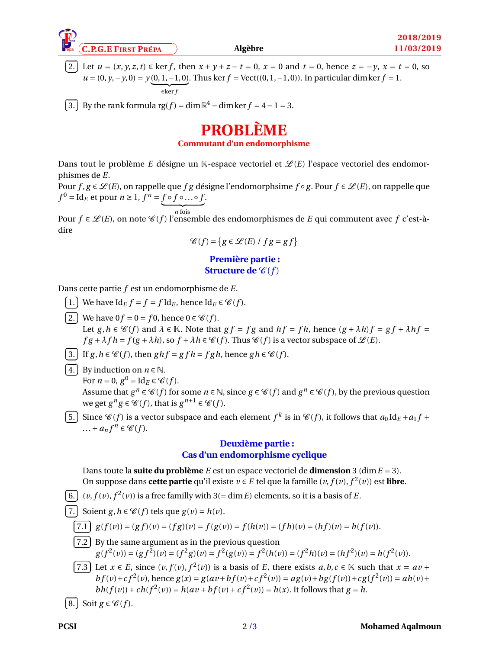

✄  $\overline{a}$ 

✄  $\overline{a}$ ĺ. 2. Let *u* = (*x*, *y*, *z*, *t*) ∈ ker *f*, then  $x + y + z - t = 0$ ,  $x = 0$  and  $t = 0$ , hence  $z = -y$ ,  $x = t = 0$ , so *u* =  $(0, y, -y, 0) = y(0, 1, -1, 0)$ . Thus ker *f* = Vect( $(0, 1, -1, 0)$ ). In particular dim ker *f* = 1.  $\overline{\epsilon \ker f}$ 

ĺ. 3. By the rank formula  $\text{rg}(f) = \dim \mathbb{R}^4 - \dim \ker f = 4 - 1 = 3.$ 

# **PROBLÈME**

**Commutant d'un endomorphisme**

Dans tout le problème *E* désigne un K-espace vectoriel et  $\mathcal{L}(E)$  l'espace vectoriel des endomorphismes de *E*.

Pour *f*, *g* ∈  $\mathcal{L}(E)$ , on rappelle que *f g* désigne l'endomorphsime *f* ∘ *g*. Pour *f* ∈  $\mathcal{L}(E)$ , on rappelle que  $f^0 = \text{Id}_E$  et pour  $n \ge 1$ ,  $f^n = f \circ f \circ \dots \circ f$ .

 $\overline{n}$  fois Pour *f* ∈  $\mathcal{L}(E)$ , on note  $\mathcal{C}(f)$  l'ensemble des endomorphismes de *E* qui commutent avec *f* c'est-àdire

$$
\mathcal{C}(f) = \{ g \in \mathcal{L}(E) / fg = gf \}
$$

## **Première partie : Structure de**  $\mathscr{C}(f)$

Dans cette partie *f* est un endomorphisme de *E*.

- ✄ ✂ ĺ. <u>**1.**</u> We have Id<sub>*E*</sub> *f* = *f* Id<sub>*E*</sub>, hence Id<sub>*E*</sub> ∈  $\mathcal{C}(f)$ .
- ✄  $\overline{a}$ ĺ. 2. We have  $0f = 0 = f0$ , hence  $0 \in \mathcal{C}(f)$ . Let  $g, h \in \mathcal{C}(f)$  and  $\lambda \in \mathbb{K}$ . Note that  $gf = fg$  and  $hf = fh$ , hence  $(g + \lambda h)f = gf + \lambda hf =$  $f g + \lambda f h = f(g + \lambda h)$ , so  $f + \lambda h \in \mathcal{C}(f)$ . Thus  $\mathcal{C}(f)$  is a vector subspace of  $\mathcal{L}(E)$ .
- ✄ ✂ ĺ.  $\underline{3.}$  If  $g, h \in \mathcal{C}(f)$ , then  $g h f = g f h = f g h$ , hence  $g h \in \mathcal{C}(f)$ .
- ✄  $\overline{a}$ ĺ. 4. By induction on  $n \in \mathbb{N}$ .

For  $n = 0$ ,  $g^0 = Id_E \in \mathcal{C}(f)$ .

Assume that  $g^n \in \mathscr{C}(f)$  for some  $n \in \mathbb{N}$ , since  $g \in \mathscr{C}(f)$  and  $g^n \in \mathscr{C}(f)$ , by the previous question we get  $g^n g \in \mathcal{C}(f)$ , that is  $g^{n+1} \in \mathcal{C}(f)$ .

✄  $\overline{a}$ ĺ. 5.) Since  $\mathcal{C}(f)$  is a vector subspace and each element  $f^k$  is in  $\mathcal{C}(f)$ , it follows that  $a_0 \text{Id}_E + a_1 f + a_2 \text{Id}_E + a_3 \text{Id}_E$ ...+  $a_n f^n \in \mathcal{C}(f)$ .

## **Deuxième partie : Cas d'un endomorphisme cyclique**

Dans toute la **suite du problème**  $E$  est un espace vectoriel de **dimension** 3 (dim  $E = 3$ ). On suppose dans **cette partie** qu'il existe *v* ∈ *E* tel que la famille (*v*, *f* (*v*), *f* 2 (*v*)) est **libre**.

✄ ✂ ĺ. 6.  $(v, f(v), f^2(v))$  is a free familly with 3(= dim *E*) elements, so it is a basis of *E*.

ĺ. 7. Soient *g*,  $h \in \mathcal{C}(f)$  tels que  $g(v) = h(v)$ .

$$
\overline{f(1)}\ g(f(v)) = (gf)(v) = (fg)(v) = f(g(v)) = f(h(v)) = (fh)(v) = (hf)(v) = h(f(v)).
$$

Ĭ. 7.2 By the same argument as in the previous question  $g(f^{2}(v)) = (gf^{2})(v) = (f^{2}g)(v) = f^{2}(g(v)) = f^{2}(h(v)) = (f^{2}h)(v) = (hf^{2})(v) = h(f^{2}(v)).$ 

✄  $\overline{a}$ Ĭ. *T*.3 Let *x* ∈ *E*, since  $(v, f(v), f^2(v))$  is a basis of *E*, there exists *a*, *b*,*c* ∈ K such that  $x = av +$ <br> *k*  $f(x) = f^2(x)$  beyond  $g(x) = f(x)$  and  $f(x) = f(x)$  and  $f(x) = f(x)$  $bf(v) + cf^2(v)$ , hence  $g(x) = g(av + bf(v) + cf^2(v)) = ag(v) + bg(f(v)) + cg(f^2(v)) = ah(v) +$ *bh*(*f*(*v*)) + *ch*(*f*<sup>2</sup>(*v*)) = *h*(*av* + *bf*(*v*) + *cf*<sup>2</sup>(*v*)) = *h*(*x*). It follows that *g* = *h*.

✄  $\overline{a}$ ĺ. 8. Soit  $g \in \mathcal{C}(f)$ .

✄  $\overline{a}$ 

✄ ✂

✄  $\overline{a}$